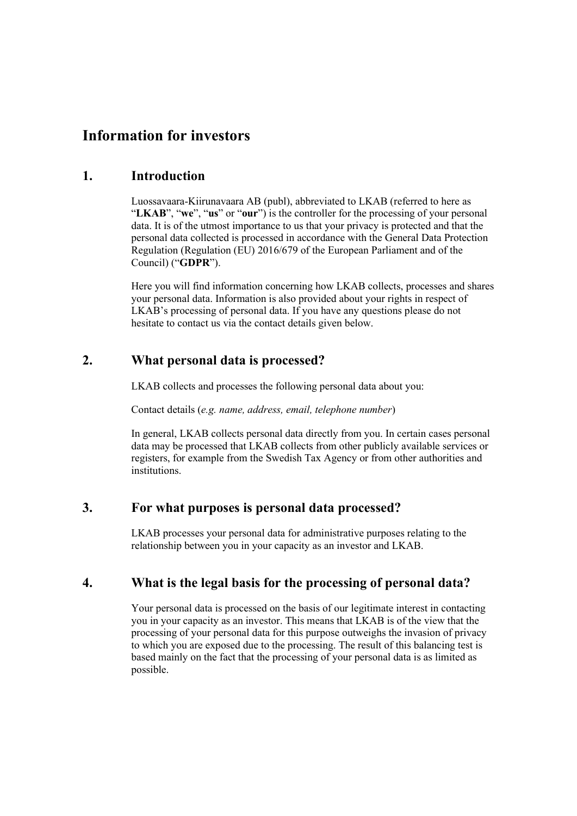# **Information for investors**

#### **1. Introduction**

Luossavaara-Kiirunavaara AB (publ), abbreviated to LKAB (referred to here as "**LKAB**", "**we**", "**us**" or "**our**") is the controller for the processing of your personal data. It is of the utmost importance to us that your privacy is protected and that the personal data collected is processed in accordance with the General Data Protection Regulation (Regulation (EU) 2016/679 of the European Parliament and of the Council) ("**GDPR**").

Here you will find information concerning how LKAB collects, processes and shares your personal data. Information is also provided about your rights in respect of LKAB's processing of personal data. If you have any questions please do not hesitate to contact us via the contact details given below.

### **2. What personal data is processed?**

LKAB collects and processes the following personal data about you:

Contact details (*e.g. name, address, email, telephone number*)

In general, LKAB collects personal data directly from you. In certain cases personal data may be processed that LKAB collects from other publicly available services or registers, for example from the Swedish Tax Agency or from other authorities and institutions.

### **3. For what purposes is personal data processed?**

LKAB processes your personal data for administrative purposes relating to the relationship between you in your capacity as an investor and LKAB.

## **4. What is the legal basis for the processing of personal data?**

Your personal data is processed on the basis of our legitimate interest in contacting you in your capacity as an investor. This means that LKAB is of the view that the processing of your personal data for this purpose outweighs the invasion of privacy to which you are exposed due to the processing. The result of this balancing test is based mainly on the fact that the processing of your personal data is as limited as possible.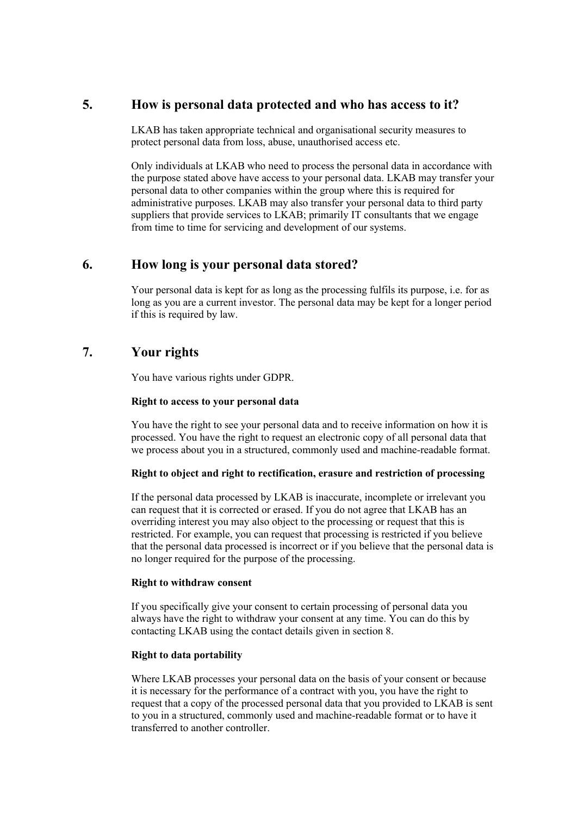### **5. How is personal data protected and who has access to it?**

LKAB has taken appropriate technical and organisational security measures to protect personal data from loss, abuse, unauthorised access etc.

Only individuals at LKAB who need to process the personal data in accordance with the purpose stated above have access to your personal data. LKAB may transfer your personal data to other companies within the group where this is required for administrative purposes. LKAB may also transfer your personal data to third party suppliers that provide services to LKAB; primarily IT consultants that we engage from time to time for servicing and development of our systems.

### **6. How long is your personal data stored?**

Your personal data is kept for as long as the processing fulfils its purpose, i.e. for as long as you are a current investor. The personal data may be kept for a longer period if this is required by law.

### **7. Your rights**

You have various rights under GDPR.

#### **Right to access to your personal data**

You have the right to see your personal data and to receive information on how it is processed. You have the right to request an electronic copy of all personal data that we process about you in a structured, commonly used and machine-readable format.

#### **Right to object and right to rectification, erasure and restriction of processing**

If the personal data processed by LKAB is inaccurate, incomplete or irrelevant you can request that it is corrected or erased. If you do not agree that LKAB has an overriding interest you may also object to the processing or request that this is restricted. For example, you can request that processing is restricted if you believe that the personal data processed is incorrect or if you believe that the personal data is no longer required for the purpose of the processing.

#### **Right to withdraw consent**

If you specifically give your consent to certain processing of personal data you always have the right to withdraw your consent at any time. You can do this by contacting LKAB using the contact details given in section 8.

#### **Right to data portability**

Where LKAB processes your personal data on the basis of your consent or because it is necessary for the performance of a contract with you, you have the right to request that a copy of the processed personal data that you provided to LKAB is sent to you in a structured, commonly used and machine-readable format or to have it transferred to another controller.